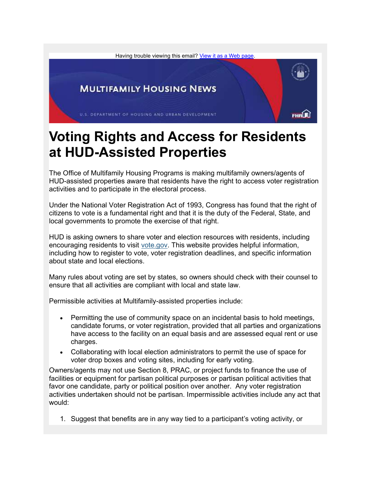

## Voting Rights and Access for Residents at HUD-Assisted Properties

The Office of Multifamily Housing Programs is making multifamily owners/agents of HUD-assisted properties aware that residents have the right to access voter registration activities and to participate in the electoral process.

Under the National Voter Registration Act of 1993, Congress has found that the right of citizens to vote is a fundamental right and that it is the duty of the Federal, State, and local governments to promote the exercise of that right.

HUD is asking owners to share voter and election resources with residents, including encouraging residents to visit vote.gov. This website provides helpful information, including how to register to vote, voter registration deadlines, and specific information about state and local elections.

Many rules about voting are set by states, so owners should check with their counsel to ensure that all activities are compliant with local and state law.

Permissible activities at Multifamily-assisted properties include:

- Permitting the use of community space on an incidental basis to hold meetings, candidate forums, or voter registration, provided that all parties and organizations have access to the facility on an equal basis and are assessed equal rent or use charges.
- Collaborating with local election administrators to permit the use of space for voter drop boxes and voting sites, including for early voting.

Owners/agents may not use Section 8, PRAC, or project funds to finance the use of facilities or equipment for partisan political purposes or partisan political activities that favor one candidate, party or political position over another. Any voter registration activities undertaken should not be partisan. Impermissible activities include any act that would:

1. Suggest that benefits are in any way tied to a participant's voting activity, or